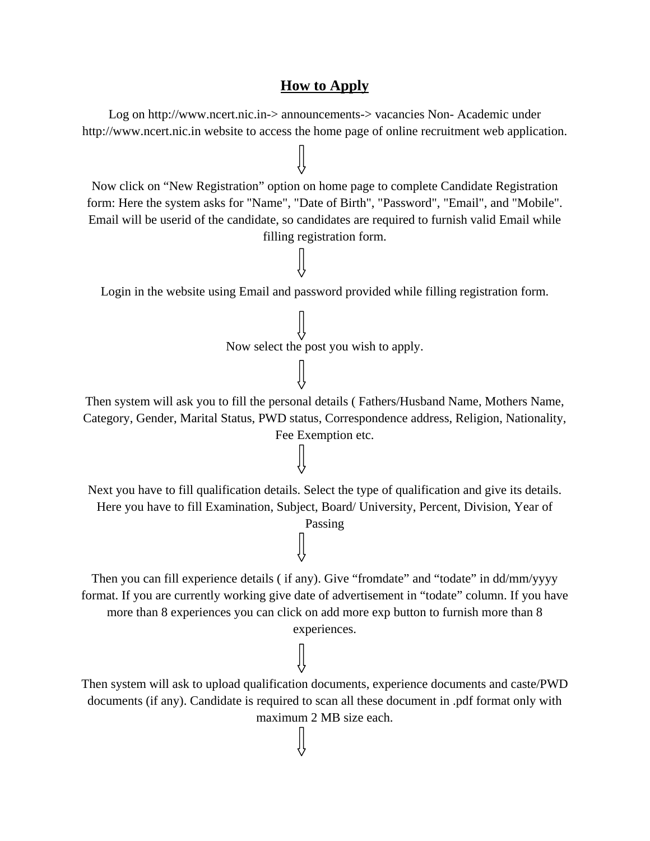## **How to Apply**

Log on http://www.ncert.nic.in-> announcements-> vacancies Non- Academic under http://www.ncert.nic.in website to access the home page of online recruitment web application.

Now click on "New Registration" option on home page to complete Candidate Registration form: Here the system asks for "Name", "Date of Birth", "Password", "Email", and "Mobile". Email will be userid of the candidate, so candidates are required to furnish valid Email while filling registration form.

Login in the website using Email and password provided while filling registration form.

Now select the post you wish to apply.

Then system will ask you to fill the personal details ( Fathers/Husband Name, Mothers Name, Category, Gender, Marital Status, PWD status, Correspondence address, Religion, Nationality,

Fee Exemption etc.

Next you have to fill qualification details. Select the type of qualification and give its details. Here you have to fill Examination, Subject, Board/ University, Percent, Division, Year of

Passing

Then you can fill experience details (if any). Give "fromdate" and "todate" in dd/mm/yyyy format. If you are currently working give date of advertisement in "todate" column. If you have more than 8 experiences you can click on add more exp button to furnish more than 8 experiences.

Then system will ask to upload qualification documents, experience documents and caste/PWD documents (if any). Candidate is required to scan all these document in .pdf format only with maximum 2 MB size each.